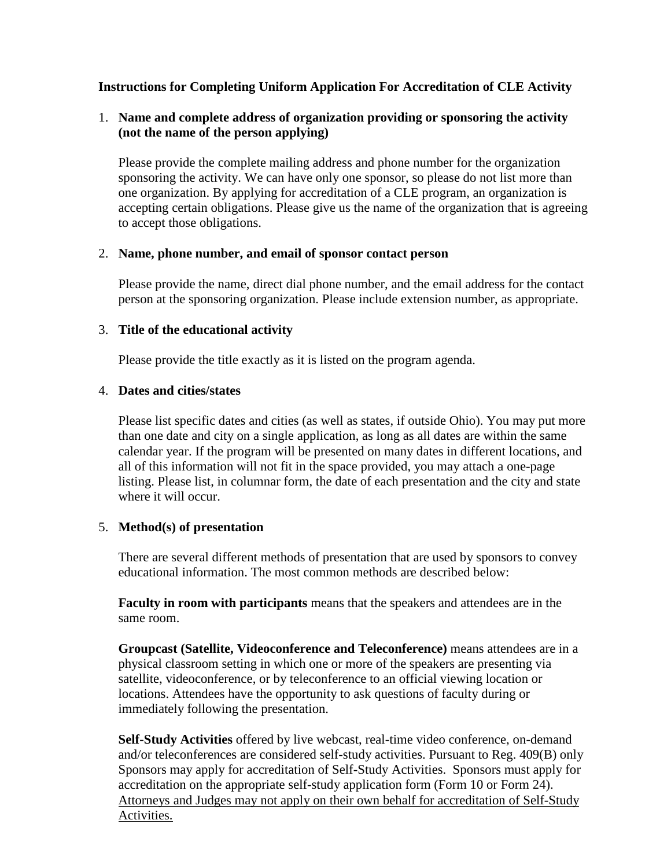# **Instructions for Completing Uniform Application For Accreditation of CLE Activity**

# 1. **Name and complete address of organization providing or sponsoring the activity (not the name of the person applying)**

Please provide the complete mailing address and phone number for the organization sponsoring the activity. We can have only one sponsor, so please do not list more than one organization. By applying for accreditation of a CLE program, an organization is accepting certain obligations. Please give us the name of the organization that is agreeing to accept those obligations.

### 2. **Name, phone number, and email of sponsor contact person**

Please provide the name, direct dial phone number, and the email address for the contact person at the sponsoring organization. Please include extension number, as appropriate.

### 3. **Title of the educational activity**

Please provide the title exactly as it is listed on the program agenda.

### 4. **Dates and cities/states**

Please list specific dates and cities (as well as states, if outside Ohio). You may put more than one date and city on a single application, as long as all dates are within the same calendar year. If the program will be presented on many dates in different locations, and all of this information will not fit in the space provided, you may attach a one-page listing. Please list, in columnar form, the date of each presentation and the city and state where it will occur.

# 5. **Method(s) of presentation**

There are several different methods of presentation that are used by sponsors to convey educational information. The most common methods are described below:

**Faculty in room with participants** means that the speakers and attendees are in the same room.

**Groupcast (Satellite, Videoconference and Teleconference)** means attendees are in a physical classroom setting in which one or more of the speakers are presenting via satellite, videoconference, or by teleconference to an official viewing location or locations. Attendees have the opportunity to ask questions of faculty during or immediately following the presentation.

**Self-Study Activities** offered by live webcast, real-time video conference, on-demand and/or teleconferences are considered self-study activities. Pursuant to Reg. 409(B) only Sponsors may apply for accreditation of Self-Study Activities. Sponsors must apply for accreditation on the appropriate self-study application form (Form 10 or Form 24). Attorneys and Judges may not apply on their own behalf for accreditation of Self-Study Activities.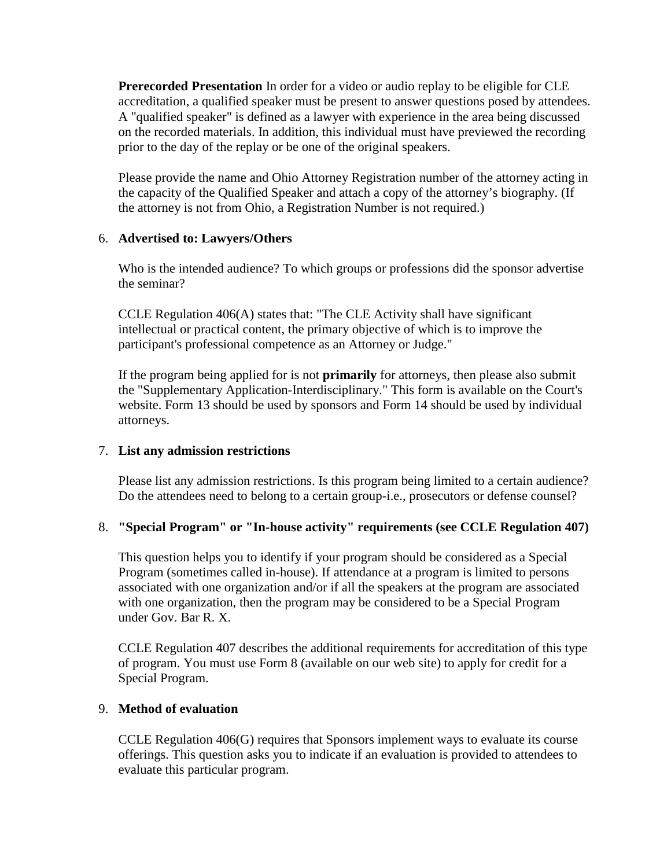**Prerecorded Presentation** In order for a video or audio replay to be eligible for CLE accreditation, a qualified speaker must be present to answer questions posed by attendees. A "qualified speaker" is defined as a lawyer with experience in the area being discussed on the recorded materials. In addition, this individual must have previewed the recording prior to the day of the replay or be one of the original speakers.

Please provide the name and Ohio Attorney Registration number of the attorney acting in the capacity of the Qualified Speaker and attach a copy of the attorney's biography. (If the attorney is not from Ohio, a Registration Number is not required.)

# 6. **Advertised to: Lawyers/Others**

Who is the intended audience? To which groups or professions did the sponsor advertise the seminar?

CCLE Regulation 406(A) states that: "The CLE Activity shall have significant intellectual or practical content, the primary objective of which is to improve the participant's professional competence as an Attorney or Judge."

If the program being applied for is not **primarily** for attorneys, then please also submit the "Supplementary Application-Interdisciplinary." This form is available on the Court's website. Form 13 should be used by sponsors and Form 14 should be used by individual attorneys.

### 7. **List any admission restrictions**

Please list any admission restrictions. Is this program being limited to a certain audience? Do the attendees need to belong to a certain group-i.e., prosecutors or defense counsel?

# 8. **"Special Program" or "In-house activity" requirements (see CCLE Regulation 407)**

This question helps you to identify if your program should be considered as a Special Program (sometimes called in-house). If attendance at a program is limited to persons associated with one organization and/or if all the speakers at the program are associated with one organization, then the program may be considered to be a Special Program under Gov. Bar R. X.

CCLE Regulation 407 describes the additional requirements for accreditation of this type of program. You must use Form 8 (available on our web site) to apply for credit for a Special Program.

### 9. **Method of evaluation**

CCLE Regulation 406(G) requires that Sponsors implement ways to evaluate its course offerings. This question asks you to indicate if an evaluation is provided to attendees to evaluate this particular program.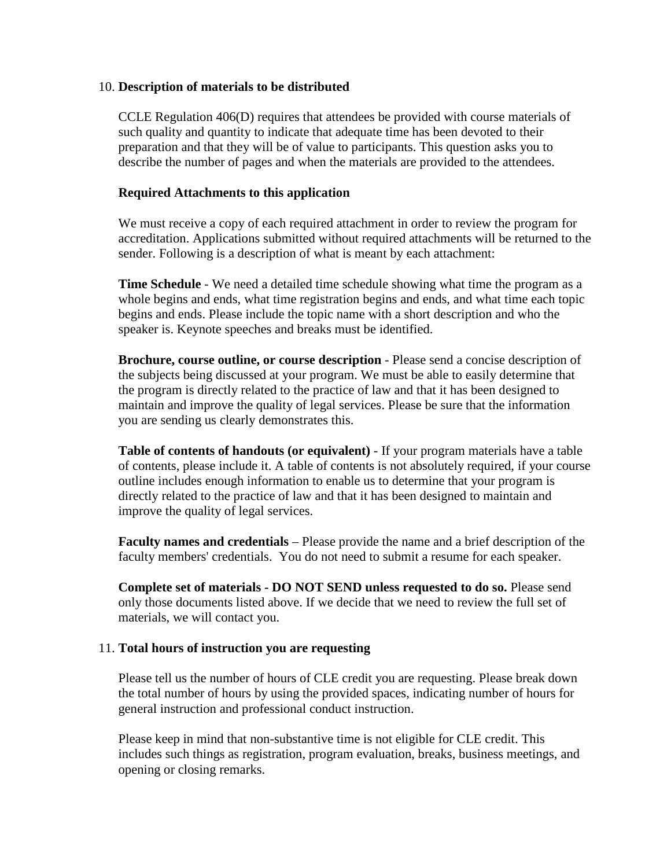### 10. **Description of materials to be distributed**

CCLE Regulation 406(D) requires that attendees be provided with course materials of such quality and quantity to indicate that adequate time has been devoted to their preparation and that they will be of value to participants. This question asks you to describe the number of pages and when the materials are provided to the attendees.

#### **Required Attachments to this application**

We must receive a copy of each required attachment in order to review the program for accreditation. Applications submitted without required attachments will be returned to the sender. Following is a description of what is meant by each attachment:

**Time Schedule** - We need a detailed time schedule showing what time the program as a whole begins and ends, what time registration begins and ends, and what time each topic begins and ends. Please include the topic name with a short description and who the speaker is. Keynote speeches and breaks must be identified.

**Brochure, course outline, or course description** - Please send a concise description of the subjects being discussed at your program. We must be able to easily determine that the program is directly related to the practice of law and that it has been designed to maintain and improve the quality of legal services. Please be sure that the information you are sending us clearly demonstrates this.

**Table of contents of handouts (or equivalent)** - If your program materials have a table of contents, please include it. A table of contents is not absolutely required, if your course outline includes enough information to enable us to determine that your program is directly related to the practice of law and that it has been designed to maintain and improve the quality of legal services.

**Faculty names and credentials** – Please provide the name and a brief description of the faculty members' credentials. You do not need to submit a resume for each speaker.

**Complete set of materials - DO NOT SEND unless requested to do so.** Please send only those documents listed above. If we decide that we need to review the full set of materials, we will contact you.

#### 11. **Total hours of instruction you are requesting**

Please tell us the number of hours of CLE credit you are requesting. Please break down the total number of hours by using the provided spaces, indicating number of hours for general instruction and professional conduct instruction.

Please keep in mind that non-substantive time is not eligible for CLE credit. This includes such things as registration, program evaluation, breaks, business meetings, and opening or closing remarks.